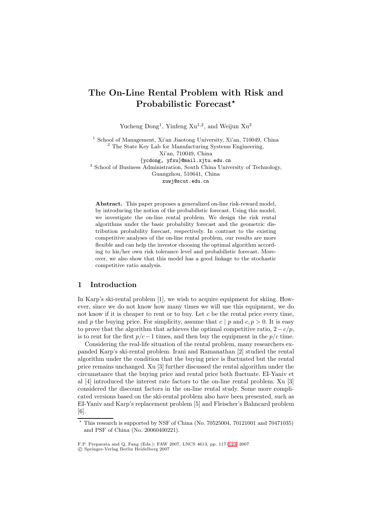# **The On-Line Rental Problem with Risk and Probabilistic Forecast***-*

Yucheng  $\text{Dong}^1$ , Yinfeng  $\text{Xu}^{1,2}$ , and Weijun  $\text{Xu}^3$ 

<sup>1</sup> School of Management, Xi'an Jiaotong University, Xi'an, 710049, China <sup>2</sup> The State Key Lab for Manufacturing Systems Engineering, Xi'an, 710049, China {ycdong, yfxu}@mail.xjtu.edu.cn

<sup>3</sup> School of Business Administration, South China University of Technology, Guangzhou, 510641, China

xuwj@scut.edu.cn

**Abstract.** This paper proposes a generalized on-line risk-reward model, by introducing the notion of the probabilistic forecast. Using this model, we investigate the on-line rental problem. We design the risk rental algorithms under the basic probability forecast and the geometric distribution probability forecast, respectively. In contrast to the existing competitive analyses of the on-line rental problem, our results are more flexible and can help the investor choosing the optimal algorithm according to his/her own risk tolerance level and probabilistic forecast. Moreover, we also show that this model has a good linkage to the stochastic competitive ratio analysis.

### **1 Introduction**

In Karp's ski-rental problem [1], we wish to acquire equipment for skiing. However, since we do not know how many times we will use this equipment, we do not know if it is cheaper to rent or to buy. Let  $c$  be the rental price every time, and p the buying price. For simplicity, assume that  $c | p$  and  $c, p > 0$ . It is easy to prove that the algorithm that achieves the optimal competitive ratio,  $2-c/p$ , is to rent for the first  $p/c-1$  times, and then buy the equipment in the  $p/c$  time.

Considering the real-life situation of the rental problem, many researchers expanded Karp's ski-rental problem. Irani and Ramanathan [2] studied the rental algorithm under the condition that the buying price is fluctuated but the rental price remains unchanged. Xu [3] further discussed the rental algorithm under the circumstance that the buying price and rental price both fluctuate. EI-Yaniv et al [4] introduced the interest rate factors to the on-line rental problem. Xu [3] considered the discount factors in the on-line rental study. Some more complicated versions based on the ski-rental problem also have been presented, such as EI-Yaniv and Karp's replacement problem [5] and Fleischer's Bahncard problem [6].

 $\star$  This research is supported by NSF of China (No. 70525004, 70121001 and 70471035) and PSF of China (No. 20060400221).

F.P. Preparata and Q. Fang (Eds.): FAW 2007, LNCS 4613, pp. 117[–123,](#page-6-0) 2007.

<sup>-</sup>c Springer-Verlag Berlin Heidelberg 2007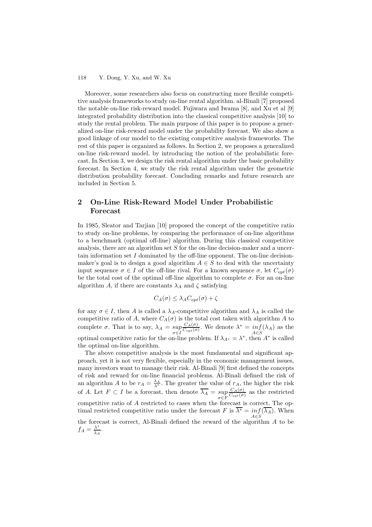#### 118 Y. Dong, Y. Xu, and W. Xu

Moreover, some researchers also focus on constructing more flexible competitive analysis frameworks to study on-line rental algorithm. al-Binali [7] proposed the notable on-line risk-reward model. Fujiwara and Iwama [8], and Xu et al [9] integrated probability distribution into the classical competitive analysis [10] to study the rental problem. The main purpose of this paper is to propose a generalized on-line risk-reward model under the probability forecast. We also show a good linkage of our model to the existing competitive analysis frameworks. The rest of this paper is organized as follows. In Section 2, we proposes a generalized on-line risk-reward model, by introducing the notion of the probabilistic forecast. In Section 3, we design the risk rental algorithm under the basic probability forecast. In Section 4, we study the risk rental algorithm under the geometric distribution probability forecast. Concluding remarks and future research are included in Section 5.

# **2 On-Line Risk-Reward Model Under Probabilistic Forecast**

In 1985, Sleator and Tarjian [10] proposed the concept of the competitive ratio to study on-line problems, by comparing the performance of on-line algorithms to a benchmark (optimal off-line) algorithm. During this classical competitive analysis, there are an algorithm set S for the on-line decision-maker and a uncertain information set  $I$  dominated by the off-line opponent. The on-line decisionmaker's goal is to design a good algorithm  $A \in S$  to deal with the uncertainty input sequence  $\sigma \in I$  of the off-line rival. For a known sequence  $\sigma$ , let  $C_{opt}(\sigma)$ be the total cost of the optimal off-line algorithm to complete  $\sigma$ . For an on-line algorithm A, if there are constants  $\lambda_A$  and  $\zeta$  satisfying

$$
C_A(\sigma) \leq \lambda_A C_{opt}(\sigma) + \zeta
$$

for any  $\sigma \in I$ , then A is called a  $\lambda_A$ -competitive algorithm and  $\lambda_A$  is called the competitive ratio of A, where  $C_A(\sigma)$  is the total cost taken with algorithm A to complete  $\sigma$ . That is to say,  $\lambda_A = \sup_{\sigma \in I}$  $\frac{C_A(\sigma)}{C_{opt}(\sigma)}$ . We denote  $\lambda^* = \inf_{A \in S} (\lambda_A)$  as the optimal competitive ratio for the on-line problem. If  $\lambda_{A^*} = \lambda^*$ , then  $A^*$  is called the optimal on-line algorithm.

The above competitive analysis is the most fundamental and significant approach, yet it is not very flexible, especially in the economic management issues, many investors want to manage their risk. Al-Binali [9] first defined the concepts of risk and reward for on-line financial problems. Al-Binali defined the risk of an algorithm A to be  $r_A = \frac{\lambda_A}{\lambda^*}$ . The greater the value of  $r_A$ , the higher the risk of A. Let  $F \subset I$  be a forecast, then denote  $\lambda_A = \sup_{\sigma \in F}$  $\frac{C_A(\sigma)}{C_{opt}(\sigma)}$  as the restricted competitive ratio of A restricted to cases when the forecast is correct. The optimal restricted competitive ratio under the forecast F is  $\overline{\lambda^*} = \inf_{A \in S} (\overline{\lambda_A})$ . When the forecast is correct, Al-Binali defined the reward of the algorithm  $A$  to be  $f_A = \frac{\lambda^*}{\lambda_A}.$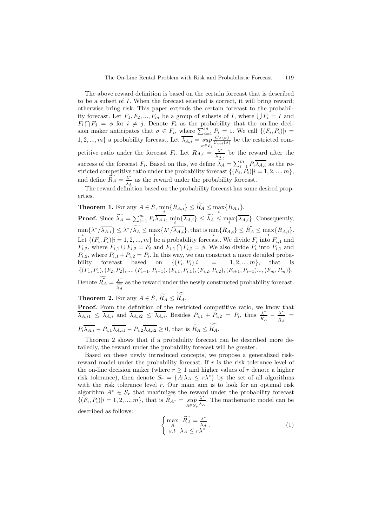The above reward definition is based on the certain forecast that is described to be a subset of I. When the forecast selected is correct, it will bring reward; otherwise bring risk. This paper extends the certain forecast to the probability forecast. Let  $F_1, F_2, ..., F_m$  be a group of subsets of I, where  $\bigcup F_i = I$  and  $F_i \cap F_j = \phi$  for  $i \neq j$ . Denote  $P_i$  as the probability that the on-line decision maker anticipates that  $\sigma \in F_i$ , where  $\sum_{i=1}^m P_i = 1$ . We call  $\{(F_i, P_i)|i =$ 1, 2, ..., m} a probability forecast. Let  $\lambda_{A,i} = \sup_{\sigma \in F_i}$  $\frac{C_A(\sigma)}{C_{opt}(\sigma)}$  be the restricted competitive ratio under the forecast  $F_i$ . Let  $R_{A,i} = \frac{\lambda^*}{\lambda_{A,i}}$  be the reward after the success of the forecast  $F_i$ . Based on this, we define  $\widetilde{\lambda}_A = \sum_{i=1}^m P_i \overline{\lambda}_{A,i}$  as the restricted competitive ratio under the probability forecast  $\{(F_i, P_i)|i = 1, 2, ..., m\},\$ and define  $\widetilde{R_A} = \frac{\lambda^*}{\lambda_A}$  as the reward under the probability forecast.

The reward definition based on the probability forecast has some desired properties.

**Theorem 1.** For any  $A \in S$ ,  $\min_i \{R_{A,i}\} \leq R_A \leq \max_i \{R_{A,i}\}.$ **Proof.** Since  $\widetilde{\lambda_A} = \sum_{i=1}^m P_i \overline{\lambda_{A,i}}, \min_i {\{\overline{\lambda_{A,i}}\}} \le \widetilde{\lambda_A} \le \max_i {\{\overline{\lambda_{A,i}}\}}$ . Consequently,  $\min_i \{ \lambda^* / \overline{\lambda_{A,i}} \} \leq \lambda^* / \lambda_A \leq \max_i \{ \lambda^* / \overline{\lambda_{A,i}} \},\$ that is  $\min_i \{ R_{A,i} \} \leq R_A \leq \max_i \{ R_{A,i} \}.$ Let  $\{(F_i, P_i)|i = 1, 2, ..., m\}$  be a probability forecast. We divide  $F_i$  into  $F_{i,1}$  and  $F_{i,2}$ , where  $F_{i,1} \cup F_{i,2} = F_i$  and  $F_{i,1} \cap F_{i,2} = \phi$ . We also divide  $P_i$  into  $P_{i,1}$  and  $P_{i,2}$ , where  $P_{i,1} + P_{i,2} = P_i$ . In this way, we can construct a more detailed probability forecast based on  $\{(F_i, P_i)|i = 1, 2, ..., m\}$ , that is  ${(F_1, P_1), (F_2, P_2), ..., (F_{i-1}, P_{i-1}), (F_{i,1}, P_{i,1}), (F_{i,2}, P_{i,2}), (F_{i+1}, P_{i+1}), ..., (F_m, P_m)}.$ Denote  $\widetilde{R_A} = \frac{\lambda^*}{\widetilde{\lambda}_A}$  as the reward under the newly constructed probability forecast.

**Theorem 2.** For any  $A \in S$ ,  $R_A \leq R_A$ .

**Proof.** From the definition of the restricted competitive ratio, we know that  $\overline{\lambda_{A,i1}} \leq \overline{\lambda_{A,i}}$  and  $\overline{\lambda_{A,i2}} \leq \overline{\lambda_{A,i}}$ . Besides  $P_{i,1} + \overline{P}_{i,2} = P_i$ , thus  $\frac{\lambda^*}{R_A} - \frac{\lambda^*}{\widehat{R_A}} =$  $P_i \lambda_{A,i} - P_{i,1} \lambda_{A,i1} - P_{i,2} \lambda_{A,i2} \ge 0$ , that is  $R_A \le R_A$ .

Theorem 2 shows that if a probability forecast can be described more detailedly, the reward under the probability forecast will be greater.

Based on these newly introduced concepts, we propose a generalized riskreward model under the probability forecast. If  $r$  is the risk tolerance level of the on-line decision maker (where  $r \geq 1$  and higher values of r denote a higher risk tolerance), then denote  $S_r = \{A | \lambda_A \leq r \lambda^* \}$  by the set of all algorithms with the risk tolerance level  $r$ . Our main aim is to look for an optimal risk algorithm  $A^* \in S_r$  that maximizes the reward under the probability forecast  $\{(F_i, P_i)|i = 1, 2, ..., m\}$ , that is  $R_{A^*} = \sup_{A \in S_r}$ λ<sup>∗</sup>  $\frac{\lambda^*}{\lambda_A}$ . The mathematic model can be described as follows:

$$
\begin{cases}\n\max_{A} \widetilde{R_A} = \frac{\lambda^*}{\lambda_A} \\
s.t \lambda_A \le r\lambda^* \n\end{cases} \n\tag{1}
$$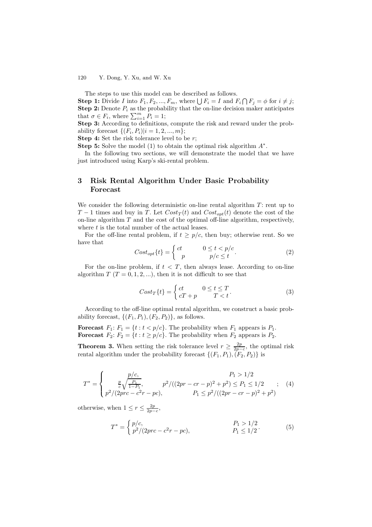#### 120 Y. Dong, Y. Xu, and W. Xu

The steps to use this model can be described as follows.

**Step 1:** Divide I into  $F_1, F_2, ..., F_m$ , where  $\bigcup F_i = I$  and  $F_i \cap F_j = \phi$  for  $i \neq j$ ; **Step 2:** Denote  $P_i$  as the probability that the on-line decision maker anticipates that  $\sigma \in F_i$ , where  $\sum_{i=1}^m P_i = 1$ ;

**Step 3:** According to definitions, compute the risk and reward under the probability forecast  $\{(F_i, P_i)|i = 1, 2, ..., m\};$ 

**Step 4:** Set the risk tolerance level to be r;

**Step 5:** Solve the model (1) to obtain the optimal risk algorithm  $A^*$ .

In the following two sections, we will demonstrate the model that we have just introduced using Karp's ski-rental problem.

### **3 Risk Rental Algorithm Under Basic Probability Forecast**

We consider the following deterministic on-line rental algorithm  $T$ : rent up to T − 1 times and buy in T. Let  $Cost_T(t)$  and  $Cost_{opt}(t)$  denote the cost of the on-line algorithm  $T$  and the cost of the optimal off-line algorithm, respectively, where  $t$  is the total number of the actual leases.

For the off-line rental problem, if  $t \geq p/c$ , then buy; otherwise rent. So we have that

$$
Cost_{opt}\{t\} = \begin{cases} ct & 0 \le t < p/c \\ p & p/c \le t \end{cases}.
$$
 (2)

For the on-line problem, if  $t < T$ , then always lease. According to on-line algorithm  $T$  ( $T = 0, 1, 2, ...$ ), then it is not difficult to see that

$$
Cost_T\{t\} = \begin{cases} ct & 0 \le t \le T \\ cT + p & T < t \end{cases} \tag{3}
$$

According to the off-line optimal rental algorithm, we construct a basic probability forecast,  $\{(F_1, P_1), (F_2, P_2)\}\$ , as follows.

**Forecast**  $F_1$ :  $F_1 = \{t : t < p/c\}$ . The probability when  $F_1$  appears is  $P_1$ . **Forecast**  $F_2$ :  $F_2 = \{t : t \ge p/c\}$ . The probability when  $F_2$  appears is  $P_2$ .

**Theorem 3.** When setting the risk tolerance level  $r \geq \frac{2p}{2p-c}$ , the optimal risk rental algorithm under the probability forecast  $\{(F_1, P_1), (F_2, P_2)\}\$ is

$$
T^* = \begin{cases} p/c, & P_1 > 1/2\\ \frac{p}{c} \sqrt{\frac{P_1}{1 - P_1}}, & p^2 / ((2pr - cr - p)^2 + p^2) \le P_1 \le 1/2\\ p^2 / (2pr - c^2r - pc), & P_1 \le p^2 / ((2pr - cr - p)^2 + p^2) \end{cases}
$$
 (4)

otherwise, when  $1 \leq r \leq \frac{2p}{2p-c}$ ,

$$
T^* = \begin{cases} p/c, & P_1 > 1/2 \\ p^2/(2prc - c^2r - pc), & P_1 \le 1/2 \end{cases}
$$
 (5)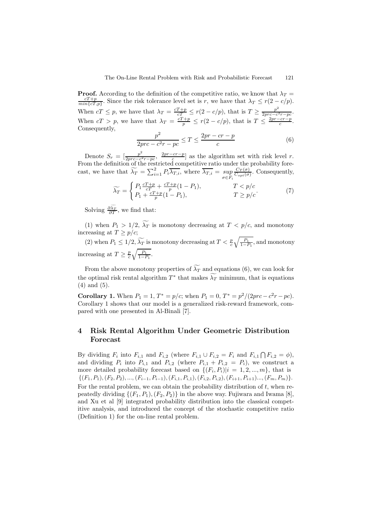**Proof.** According to the definition of the competitive ratio, we know that  $\lambda_T =$  $\frac{cT+p}{min\{cT,p\}}$ . Since the risk tolerance level set is r, we have that  $\lambda_T \le r(2-c/p)$ . When  $cT \leq p$ , we have that  $\lambda_T = \frac{cT+p}{cT} \leq r(2-c/p)$ , that is  $T \geq \frac{p^2}{2prc-c^2r-pc}$ . When  $cT > p$ , we have that  $\lambda_T = \frac{cT+p}{p} \le r(2 - c/p)$ , that is  $T \le \frac{2pr - cr - p}{c}$ . Consequently,

$$
\frac{p^2}{2prc - c^2r - pc} \le T \le \frac{2pr - cr - p}{c} \tag{6}
$$

Denote  $S_r = \left[\frac{p^2}{2pr-c^2r-pc}, \frac{2pr-cr-p}{c}\right]$  as the algorithm set with risk level r. From the definition of the restricted competitive ratio under the probability forecast, we have that  $\widetilde{\lambda}_T = \sum_{i=1}^2 P_i \overline{\lambda_{T,i}}$ , where  $\overline{\lambda_{T,i}} = \sup_{\sigma \in F_i}$  $\frac{C_T(\sigma)}{C_{opt}(\sigma)}$ . Consequently,

$$
\widetilde{\lambda_T} = \begin{cases}\nP_1 \frac{cT + p}{cT} + \frac{cT + p}{p}(1 - P_1), & T < p/c \\
P_1 + \frac{cT + p}{p}(1 - P_1), & T \ge p/c\n\end{cases} \tag{7}
$$

Solving  $\frac{\partial \lambda_T}{\partial T}$ , we find that:

(1) when  $P_1 > 1/2$ ,  $\lambda_T$  is monotony decreasing at  $T < p/c$ , and monotony increasing at  $T \ge p/c$ ;

(2) when  $P_1 \leq 1/2$ ,  $\widetilde{\lambda_T}$  is monotony decreasing at  $T < \frac{p}{c} \sqrt{\frac{P_1}{1-P_1}}$ , and monotony increasing at  $T \geq \frac{p}{c} \sqrt{\frac{P_1}{1-P_1}}$ .

From the above monotony properties of  $\lambda_T$  and equations (6), we can look for the optimal risk rental algorithm  $T^*$  that makes  $\lambda_T$  minimum, that is equations (4) and (5).

**Corollary 1.** When  $P_1 = 1$ ,  $T^* = p/c$ ; when  $P_1 = 0$ ,  $T^* = p^2/(2prc - c^2r - pc)$ . Corollary 1 shows that our model is a generalized risk-reward framework, compared with one presented in Al-Binali [7].

# **4 Risk Rental Algorithm Under Geometric Distribution Forecast**

By dividing  $F_i$  into  $F_{i,1}$  and  $F_{i,2}$  (where  $F_{i,1} \cup F_{i,2} = F_i$  and  $F_{i,1} \cap F_{i,2} = \emptyset$ ), and dividing  $P_i$  into  $P_{i,1}$  and  $P_{i,2}$  (where  $P_{i,1} + P_{i,2} = P_i$ ), we construct a more detailed probability forecast based on  $\{(F_i, P_i)|i = 1, 2, ..., m\}$ , that is  $\{(F_1, P_1), (F_2, P_2), ..., (F_{i-1}, P_{i-1}), (F_{i,1}, P_{i,1}), (F_{i,2}, P_{i,2}), (F_{i+1}, P_{i+1})..., (F_m, P_m)\}.$ For the rental problem, we can obtain the probability distribution of  $t$ , when repeatedly dividing  $\{(F_1, P_1), (F_2, P_2)\}\$ in the above way. Fujiwara and Iwama [8], and Xu et al [9] integrated probability distribution into the classical competitive analysis, and introduced the concept of the stochastic competitive ratio (Definition 1) for the on-line rental problem.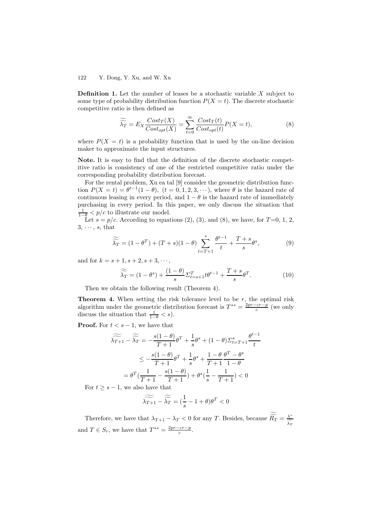#### 122 Y. Dong, Y. Xu, and W. Xu

**Definition 1.** Let the number of leases be a stochastic variable X subject to some type of probability distribution function  $P(X = t)$ . The discrete stochastic competitive ratio is then defined as

$$
\widetilde{\widetilde{\lambda_T}} = E_X \frac{Cost_T(X)}{Cost_{opt}(X)} = \sum_{t=0}^{\infty} \frac{Cost_T(t)}{Cost_{opt}(t)} P(X = t),
$$
\n(8)

where  $P(X = t)$  is a probability function that is used by the on-line decision maker to approximate the input structures.

**Note.** It is easy to find that the definition of the discrete stochastic competitive ratio is consistency of one of the restricted competitive ratio under the corresponding probability distribution forecast.

For the rental problem, Xu ea tal [9] consider the geometric distribution function  $P(X = t) = \theta^{t-1}(1 - \theta)$ ,  $(t = 0, 1, 2, 3, \cdots)$ , where  $\theta$  is the hazard rate of continuous leasing in every period, and  $1 - \theta$  is the hazard rate of immediately purchasing in every period. In this paper, we only discuss the situation that  $\frac{1}{1-\theta}$  < p/c to illustrate our model.

Let  $s = p/c$ . According to equations (2), (3), and (8), we have, for  $T=0, 1, 2$ ,  $3, \cdots, s$ , that

$$
\widetilde{\widetilde{\lambda_T}} = (1 - \theta^T) + (T + s)(1 - \theta) \sum_{t = T + 1}^s \frac{\theta^{t-1}}{t} + \frac{T + s}{s} \theta^s,\tag{9}
$$

and for  $k = s + 1, s + 2, s + 3, \dots$ ,

$$
\widetilde{\widetilde{\lambda_T}} = (1 - \theta^s) + \frac{(1 - \theta)}{s} \Sigma_{t=s+1}^T t \theta^{t-1} + \frac{T + s}{s} \theta^T.
$$
\n(10)

Then we obtain the following result (Theorem 4).

**Theorem 4.** When setting the risk tolerance level to be  $r$ , the optimal risk algorithm under the geometric distribution forecast is  $T^{**} = \frac{2pr - cr - p}{c}$  (we only discuss the situation that  $\frac{1}{1-\theta} < s$ .

**Proof.** For  $t < s - 1$ , we have that

$$
\widetilde{\lambda_{T+1}} - \widetilde{\widetilde{\lambda_T}} = -\frac{s(1-\theta)}{T+1}\theta^T + \frac{1}{s}\theta^s + (1-\theta)\Sigma_{t=T+1}^s \frac{\theta^{t-1}}{t}
$$
\n
$$
\leq -\frac{s(1-\theta)}{T+1}\theta^T + \frac{1}{s}\theta^s + \frac{1-\theta}{T+1}\frac{\theta^T - \theta^s}{1-\theta}
$$
\n
$$
= \theta^T(\frac{1}{T+1} - \frac{s(1-\theta)}{T+1}) + \theta^s(\frac{1}{s} - \frac{1}{T+1}) < 0
$$

For  $t \geq s - 1$ , we also have that

$$
\widetilde{\widetilde{\lambda_{T+1}}} - \widetilde{\widetilde{\lambda_T}} = (\frac{1}{s} - 1 + \theta)\theta^T < 0
$$

Therefore, we have that  $\lambda_{T+1} - \lambda_T < 0$  for any T. Besides, because  $\widetilde{R}_T = \frac{\lambda^*}{\widetilde{\lambda}_T}$ and  $T \in S_r$ , we have that  $T^{**} = \frac{2pr - cr - p}{c}$ .